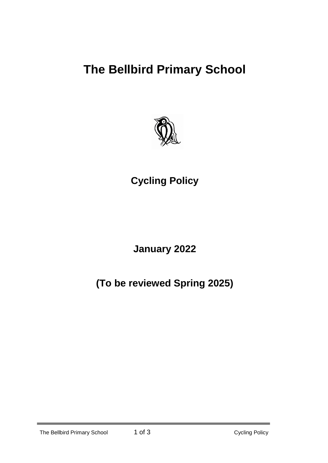# **The Bellbird Primary School**



# **Cycling Policy**

**January 2022**

**(To be reviewed Spring 2025)**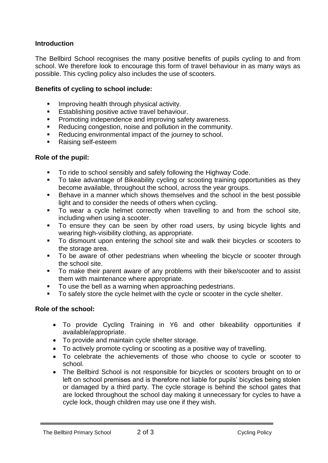## **Introduction**

The Bellbird School recognises the many positive benefits of pupils cycling to and from school. We therefore look to encourage this form of travel behaviour in as many ways as possible. This cycling policy also includes the use of scooters.

## **Benefits of cycling to school include:**

- **IMPROVING health through physical activity.**
- **Establishing positive active travel behaviour.**
- **Promoting independence and improving safety awareness.**
- Reducing congestion, noise and pollution in the community.
- Reducing environmental impact of the journey to school.
- Raising self-esteem

#### **Role of the pupil:**

- To ride to school sensibly and safely following the Highway Code.
- To take advantage of Bikeability cycling or scooting training opportunities as they become available, throughout the school, across the year groups.
- Behave in a manner which shows themselves and the school in the best possible light and to consider the needs of others when cycling.
- To wear a cycle helmet correctly when travelling to and from the school site, including when using a scooter.
- To ensure they can be seen by other road users, by using bicycle lights and wearing high-visibility clothing, as appropriate.
- To dismount upon entering the school site and walk their bicycles or scooters to the storage area.
- To be aware of other pedestrians when wheeling the bicycle or scooter through the school site.
- To make their parent aware of any problems with their bike/scooter and to assist them with maintenance where appropriate.
- To use the bell as a warning when approaching pedestrians.
- To safely store the cycle helmet with the cycle or scooter in the cycle shelter.

#### **Role of the school:**

- To provide Cycling Training in Y6 and other bikeability opportunities if available/appropriate.
- To provide and maintain cycle shelter storage.
- To actively promote cycling or scooting as a positive way of travelling.
- To celebrate the achievements of those who choose to cycle or scooter to school.
- The Bellbird School is not responsible for bicycles or scooters brought on to or left on school premises and is therefore not liable for pupils' bicycles being stolen or damaged by a third party. The cycle storage is behind the school gates that are locked throughout the school day making it unnecessary for cycles to have a cycle lock, though children may use one if they wish.